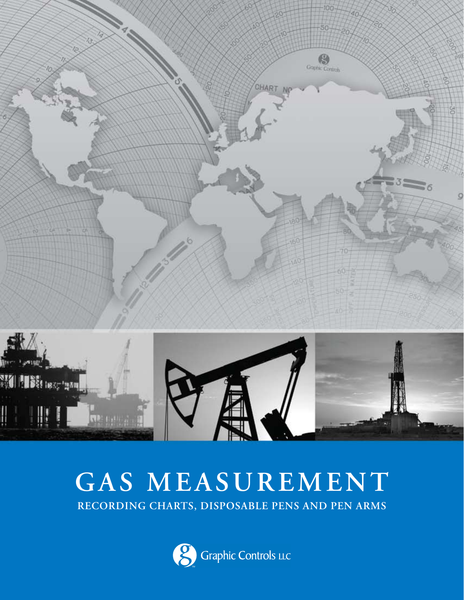

# **GAS MEASUREMENT RECORDING CHARTS, DISPOSABLE PENS AND PEN ARMS**

 $\parallel \, \parallel$ 

I

**Republica** 

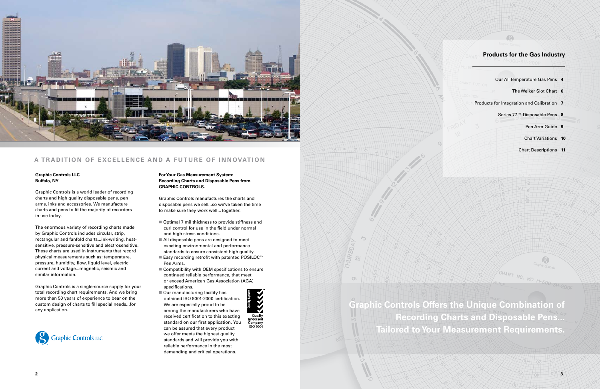

## A TRADITION OF EXCELLENCE AND A FUTURE OF INNOVATION

## **Products for the Gas Industry**

- Our All Temperature Gas Pens **4**
	- The Welker Slot Chart **6**
- Products for Integration and Calibration **7**
	- Series 77™ Disposable Pens **8**
		- Pen Arm Guide **9**
		- Chart Variations **10**
		- Chart Descriptions **11**

MC M-500

#### **Graphic Controls LLC Buffalo, NY**

Graphic Controls is a world leader of recording charts and high quality disposable pens, pen arms, inks and accessories. We manufacture charts and pens to fit the majority of recorders in use today.

The enormous variety of recording charts made by Graphic Controls includes circular, strip, rectangular and fanfold charts...ink-writing, heatsensitive, pressure-sensitive and electrosensitive. These charts are used in instruments that record physical measurements such as: temperature, pressure, humidity, flow, liquid level, electric current and voltage...magnetic, seismic and similar information.

Graphic Controls is a single-source supply for your total recording chart requirements. And we bring more than 50 years of experience to bear on the custom design of charts to fill special needs...for any application.



- $\blacksquare$  Optimal 7 mil thickness to provide stiffness and curl control for use in the field under normal and high stress conditions.
- $\blacksquare$  All disposable pens are designed to meet exacting environmental and performance standards to ensure consistent high quality.
- Easy recording retrofit with patented POSILOC™ Pen Arms.
- $\blacksquare$  Compatibility with OEM specifications to ensure continued reliable performance, that meet or exceed American Gas Association (AGA) specifications.
- $\blacksquare$  Our manufacturing facility has obtained ISO 9001-2000 certification. We are especially proud to be among the manufacturers who have received certification to this exacting standard on our first application. You can be assured that every product we offer meets the highest quality standards and will provide you with reliable performance in the most demanding and critical operations.





**Graphic Controls Offers the Unique Combination of Recording Charts and Disposable Pens... Tailored to Your Measurement Requirements** 

**For Your Gas Measurement System: Recording Charts and Disposable Pens from GRAPHIC CONTROLS.**

Graphic Controls manufactures the charts and disposable pens we sell...so we've taken the time to make sure they work well...Together.

SH-2001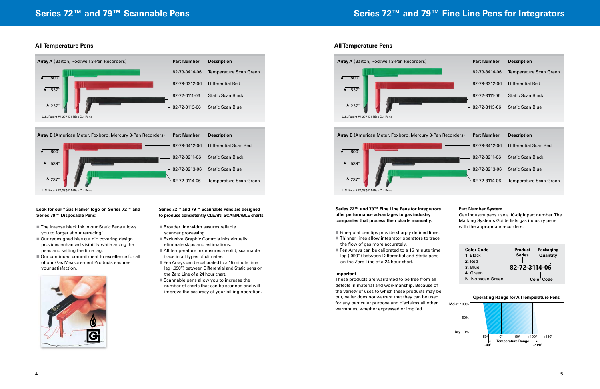

- $\blacksquare$  The intense black ink in our Static Pens allows you to forget about retracing!
- $\blacksquare$  Our redesigned bias cut nib covering design provides enhanced visibility while arcing the pens and setting the time lag.
- $\blacksquare$  Our continued commitment to excellence for all of our Gas Measurement Products ensures your satisfaction.



### **Look for our "Gas Flame" logo on Series 72™ and Series 79™ Disposable Pens:**

- $\blacksquare$  Broader line width assures reliable scanner processing.
- Exclusive Graphic Controls inks virtually eliminate skips and estimations.
- All temperature ink ensures a solid, scannable trace in all types of climates.
- $\blacksquare$  Pen Arrays can be calibrated to a 15 minute time lag (.090") between Differential and Static pens on the Zero Line of a 24 hour chart.
- $\blacksquare$  Scannable pens allow you to increase the number of charts that can be scanned and will improve the accuracy of your billing operation.

### **Series 72™ and 79™ Scannable Pens are designed to produce consistently CLEAN, SCANNABLE charts.**

- $\blacksquare$  Fine-point pen tips provide sharply defined lines.
- $\blacksquare$  Thinner lines allow integrator operators to trace the flow of gas more accurately.
- $\blacksquare$  Pen Arrays can be calibrated to a 15 minute time lag (.090") between Differential and Static pens on the Zero Line of a 24 hour chart.





# **Series 72™ and 79™ Fine Line Pens for Integrators**



### **Series 72™ and 79™ Fine Line Pens for Integrators offer performance advantages to gas industry companies that process their charts manually.**

#### **Important**

These products are warranted to be free from all defects in material and workmanship. Because of the variety of uses to which these products may be put, seller does not warrant that they can be used for any particular purpose and disclaims all other warranties, whether expressed or implied.



#### **Part Number System**



Gas industry pens use a 10-digit part number. The Marking Systems Guide lists gas industry pens with the appropriate recorders.

### **All Temperature Pens All Temperature Pens**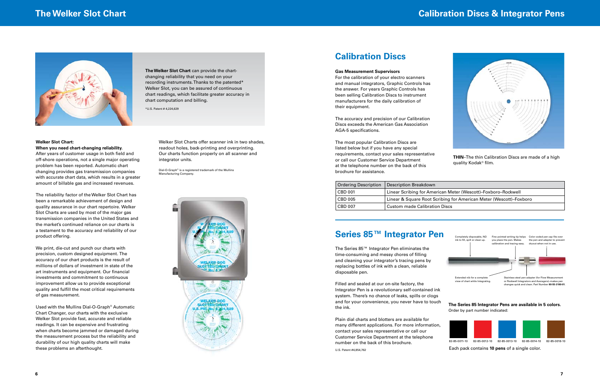#### **Gas Measurement Supervisors**

For the calibration of your electro scanners and manual integrators, Graphic Controls has the answer. For years Graphic Controls has been selling Calibration Discs to instrument manufacturers for the daily calibration of their equipment.

The accuracy and precision of our Calibration Discs exceeds the American Gas Association AGA-5 specifications.

The most popular Calibration Discs are listed below but if you have any special requirements, contact your sales representative or call our Customer Service Department at the telephone number on the back of this brochure for assistance.



**The Welker Slot Chart** can provide the chartchanging reliability that you need on your recording instruments. Thanks to the patented\* Welker Slot, you can be assured of continuous chart readings, which facilitate greater accuracy in chart computation and billing.

\*U.S. Patent # 4,224,629

# **Calibration Discs & Integrator Pens**



The Series 85™ Integrator Pen eliminates the time-consuming and messy chores of filling and cleaning your integrator's tracing pens by replacing bottles of ink with a clean, reliable disposable pen.

Filled and sealed at our on-site factory, the Integrator Pen is a revolutionary self-contained ink system. There's no chance of leaks, spills or clogs and for your convenience, you never have to touch the ink.

Plain dial charts and blotters are available for many different applications. For more information, contact your sales representative or call our Customer Service Department at the telephone number on the back of this brochure.

## **Series 85™ Integrator Pen**

**The Series 85 Integrator Pens are available in 5 colors.** Order by part number indicated:

Each pack contains **10 pens** of a single color.

#### **Welker Slot Chart: When you need chart-changing reliability.**

After years of customer usage in both field and off-shore operations, not a single major operating problem has been reported. Automatic chart changing provides gas transmission companies with accurate chart data, which results in a greater amount of billable gas and increased revenues.

The reliability factor of the Welker Slot Chart has been a remarkable achievement of design and quality assurance in our chart repertoire. Welker Slot Charts are used by most of the major gas transmission companies in the United States and the market's continued reliance on our charts is a testament to the accuracy and reliability of our product offering.

We print, die-cut and punch our charts with precision, custom designed equipment. The accuracy of our chart products is the result of millions of dollars of investment in state of the art instruments and equipment. Our financial investments and commitment to continuous improvement allow us to provide exceptional quality and fulfill the most critical requirements of gas measurement.





Used with the Mullins Dial-O-Graph® Automatic Chart Changer, our charts with the exclusive Welker Slot provide fast, accurate and reliable readings. It can be expensive and frustrating when charts become jammed or damaged during the measurement process but the reliability and durability of our high quality charts will make these problems an afterthought.

Welker Slot Charts offer scanner ink in two shades, readout holes, back-printing and overprinting. Our charts function properly on all scanner and integrator units.

Dial-O-Graph® is a registered trademark of the Mullins Manufacturing Company.



# **Calibration Discs**

| <b>Ordering Description</b> | <b>Description Breakdown</b>         |
|-----------------------------|--------------------------------------|
| $\mid$ CBD 001              | Linear Scribing for American M       |
| $\vert$ CBD 005             | Linear & Square Root Scribing 1      |
| $\overline{C}$ BD 007       | <b>Custom made Calibration Discs</b> |

**THIN**–The thin Calibration Discs are made of a high quality Kodak® film.

#### can Meter (Wescott)–Foxboro–Rockwell

ibing for American Meter (Wescott)–Foxboro

U.S. Patent #4,854,762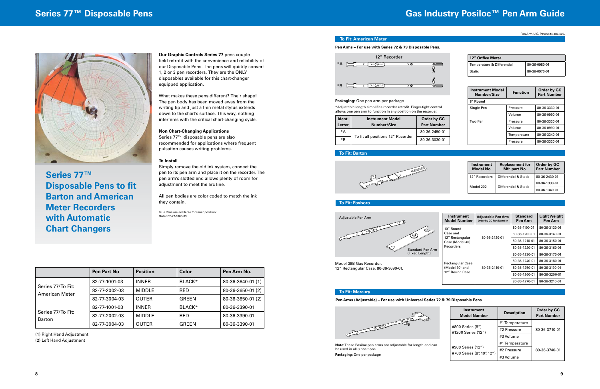# **Series 77™ Disposable Pens Gas Industry Posiloc™ Pen Arm Guide**

#### **To Fit: Barton**



| <b>Instrument</b><br>Model No. | <b>Replacement for</b><br>Mfr. part No.        | Order by GC<br><b>Part Number</b> |
|--------------------------------|------------------------------------------------|-----------------------------------|
| 12" Recorders                  | Differential & Static<br>Differential & Static | 80-36-2430-01                     |
| Model 202                      |                                                | 80-36-1330-01                     |
|                                |                                                | 80-36-1340-01                     |

#### **To Fit: Foxboro**

#### **To Fit: Mercury**

| Instrument<br><b>Model Number</b>  | <b>Adjustable Pen Arm</b><br><b>Order by GC Part Number</b> | <b>Standard</b><br>Pen Arm | <b>Light Weight</b><br>Pen Arm |
|------------------------------------|-------------------------------------------------------------|----------------------------|--------------------------------|
| 10" Round                          |                                                             | 80-36-1190-01              | 80-36-3130-01                  |
| Case and                           | 80-36-2420-01                                               | 80-36-1200-01              | 80-36-3140-01                  |
| 12" Rectangular<br>Case (Model 40) |                                                             | 80-36-1210-01              | 80-36-3150-01                  |
| Recorders                          |                                                             | 80-36-1220-01              | 80-36-3160-01                  |
|                                    |                                                             | 80-36-1230-01              | 80-36-3170-01                  |
| <b>Rectangular Case</b>            |                                                             | 80-36-1240-01              | 80-36-3180-01                  |
| (Model 30) and                     | 80-36-2410-01                                               | 80-36-1250-01              | 80-36-3190-01                  |
| 12" Round Case                     |                                                             | 80-36-1260-01              | 80-36-3200-01                  |
|                                    |                                                             | 80-36-1270-01              | 80-36-3210-01                  |



Model 39B Gas Recorder. 12" Rectangular Case. 80-36-3690-01.

| Instrument<br><b>Model Number</b>               | <b>Description</b> | Order by GC<br><b>Part Number</b> |  |
|-------------------------------------------------|--------------------|-----------------------------------|--|
|                                                 | #1 Temperature     |                                   |  |
| #800 Series (8")<br>#1200 Series (12")          | #2 Pressure        | 80-36-3710-01                     |  |
|                                                 | #3 Volume          |                                   |  |
|                                                 | #1 Temperature     |                                   |  |
| #900 Series (12")<br>#700 Series (8", 10", 12") | #2 Pressure        | 80-36-3740-01                     |  |
|                                                 | #3 Volume          |                                   |  |



### **To Fit: American Meter**

#### **Packaging:** One pen arm per package

\*Adjustable length simplifies recorder retrofit. Finger-tight control allows one pen arm to function in any position on the recorder.

| Ident.<br>Letter | <b>Instrument Model</b><br>Number/Size | Order by GC<br><b>Part Number</b> |
|------------------|----------------------------------------|-----------------------------------|
| *A               |                                        | 80-36-2490-01                     |
| *R               | To fit all positions 12" Recorder      | 80-36-3030-01                     |

**12" Orifice Meter**

#### **Pen Arms – For use with Series 72 & 79 Disposable Pens.**

| <b>Instrument Model</b><br>Number/Size | <b>Function</b> | Order by GC<br><b>Part Number</b> |
|----------------------------------------|-----------------|-----------------------------------|
| 8" Round                               |                 |                                   |
| Single Pen                             | Pressure        | 80-36-3330-01                     |
|                                        | Volume          | 80-36-0990-01                     |
| Two Pen                                | Pressure        | 80-36-3330-01                     |
|                                        | Volume          | 80-36-0990-01                     |
|                                        | Temperature     | 80-36-3340-01                     |
|                                        | Pressure        | 80-36-3330-01                     |

Temperature & Differential 80-36-0980-01 Static 80-36-0970-01



**Note:** These Posiloc pen arms are adjustable for length and can be used in all 3 positions. **Packaging:** One per package

#### **Pen Arms (Adjustable) – For use with Universal Series 72 & 79 Disposable Pens**

Pen Arm U.S. Patent #4,186,405.

|                                     | Pen Part No   | <b>Position</b> | Color      | Pen Arm No.       |
|-------------------------------------|---------------|-----------------|------------|-------------------|
|                                     | 82-77-1001-03 | <b>INNER</b>    | BLACK*     | 80-36-3640-01 (1) |
| Series 77/To Fit:<br>American Meter | 82-77-2002-03 | <b>MIDDLE</b>   | <b>RED</b> | 80-36-3650-01 (2) |
|                                     | 82-77-3004-03 | <b>OUTER</b>    | GREEN      | 80-36-3650-01 (2) |
|                                     | 82-77-1001-03 | <b>INNER</b>    | BLACK*     | 80-36-3390-01     |
| Series 77/To Fit:<br><b>Barton</b>  | 82-77-2002-03 | <b>MIDDLE</b>   | <b>RED</b> | 80-36-3390-01     |
|                                     | 82-77-3004-03 | <b>OUTER</b>    | GREEN      | 80-36-3390-01     |

(1) Right Hand Adjustment

(2) Left Hand Adjustment

### **Our Graphic Controls Series 77** pens couple

field retrofit with the convenience and reliability of our Disposable Pens. The pens will quickly convert 1, 2 or 3 pen recorders. They are the ONLY disposables available for this chart-changer equipped application.

What makes these pens different? Their shape! The pen body has been moved away from the writing tip and just a thin metal stylus extends down to the chart's surface. This way, nothing interferes with the critical chart-changing cycle.

#### **Non Chart-Changing Applications**

Series 77™ disposable pens are also recommended for applications where frequent pulsation causes writing problems.

#### **To Install**

Simply remove the old ink system, connect the pen to its pen arm and place it on the recorder. The pen arm's slotted end allows plenty of room for adjustment to meet the arc line.

All pen bodies are color coded to match the ink they contain.

Blue Pens are available for inner position: Order 82-77-1003-03



**Series 77™ Disposable Pens to fit Barton and American Meter Recorders with Automatic Chart Changers**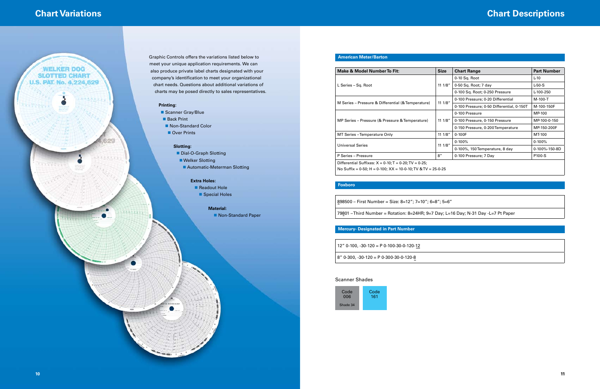## meet your unique application requirements. We can also produce private label charts designated with your company's identification to meet your organizational

- Dial-O-Graph Slotting
	-
	- Automatic-Meterman Slotting

- Readout Hole
- Special Holes



## **Material:**

■ Non-Standard Paper

# **Chart Variations Chart Descriptions**

 $5 = 6"$ 

| <b>Make &amp; Model Number To Fit:</b>                              | <b>Size</b> | <b>Chart Range</b>                        | <b>Part Number</b> |
|---------------------------------------------------------------------|-------------|-------------------------------------------|--------------------|
|                                                                     |             | $0-10$ Sq. Root                           | L-10               |
| L Series - Sq. Root                                                 | 11 1/8"     | 0-50 Sq. Root; 7 day                      | $L-50-S$           |
|                                                                     |             | 0-100 Sq. Root; 0-250 Pressure            | L-100-250          |
|                                                                     | 11.1/8"     | 0-100 Pressure; 0-20 Differential         | M-100-T            |
| M Series – Pressure & Differential (& Temperature)                  |             | 0-100 Pressure; 0-50 Differential, 0-150T | M-100-150F         |
|                                                                     | 111/8"      | 0-100 Pressure                            | MP-100             |
| MP Series – Pressure (& Pressure & Temperature)                     |             | 0-100 Pressure, 0-150 Pressure            | MP-100-0-150       |
|                                                                     |             | 0-150 Pressure, 0-200 Temperature         | MP-150-200F        |
| MT Series - Temperature Only                                        | 11 1/8"     | $0 - 100F$                                | MT-100             |
|                                                                     | 111/8"      | $0-100%$                                  | $0 - 100%$         |
| Universal Series                                                    |             | 0-100%, 150 Temperature, 8 day            | 0-100%-150-8D      |
| P Series - Pressure                                                 | 8''         | 0-100 Pressure; 7 Day                     | P100-S             |
| Differential Suffixes: $X = 0-10$ ; $T = 0-20$ ; TV = 0-25;         |             |                                           |                    |
| No Suffix = 0-50; H = 0-100; $XX = 10 - 0 - 10$ ; TV & TV = 25-0-25 |             |                                           |                    |

### **American Meter/Barton**

79801 – Third Number = Rotation: 8=24HR; 9=7 Day; L=16 Day; N-31 Day -L=7 Pt Paper

### **Foxboro**

|  |  |  | $\vert$ 898500 – First Number = Size: 8=12"; 7=10"; 6=8" |  |  |  |  |
|--|--|--|----------------------------------------------------------|--|--|--|--|
|--|--|--|----------------------------------------------------------|--|--|--|--|

### **Mercury- Designated in Part Number**

12" 0-100, -30-120 = P 0-100-30-0-120-12

 $| 8"$  0-300, -30-120 = P 0-300-30-0-120-8

### Scanner Shades